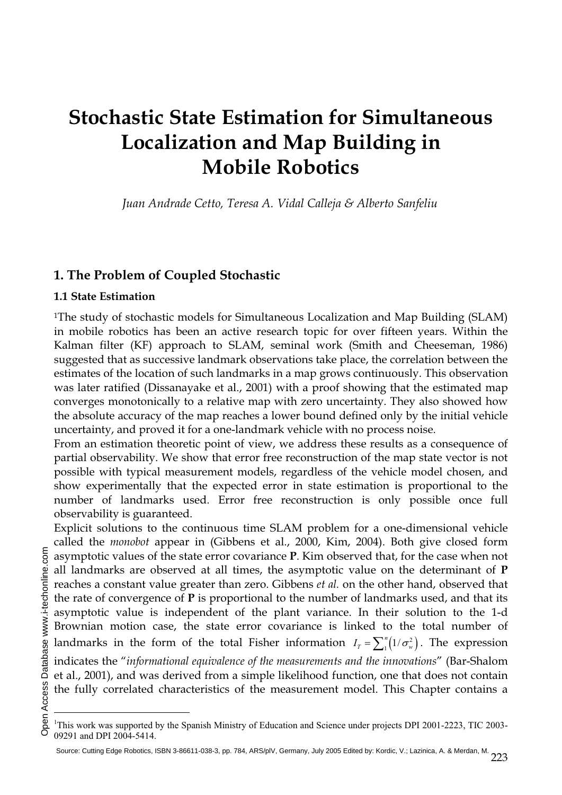# **Stochastic State Estimation for Simultaneous Localization and Map Building in Mobile Robotics**

*Juan Andrade Cetto, Teresa A. Vidal Calleja & Alberto Sanfeliu* 

# **1. The Problem of Coupled Stochastic**

## **1.1 State Estimation**

1The study of stochastic models for Simultaneous Localization and Map Building (SLAM) in mobile robotics has been an active research topic for over fifteen years. Within the Kalman filter (KF) approach to SLAM, seminal work (Smith and Cheeseman, 1986) suggested that as successive landmark observations take place, the correlation between the estimates of the location of such landmarks in a map grows continuously. This observation was later ratified (Dissanayake et al., 2001) with a proof showing that the estimated map converges monotonically to a relative map with zero uncertainty. They also showed how the absolute accuracy of the map reaches a lower bound defined only by the initial vehicle uncertainty, and proved it for a one-landmark vehicle with no process noise.

From an estimation theoretic point of view, we address these results as a consequence of partial observability. We show that error free reconstruction of the map state vector is not possible with typical measurement models, regardless of the vehicle model chosen, and show experimentally that the expected error in state estimation is proportional to the number of landmarks used. Error free reconstruction is only possible once full observability is guaranteed.

Explicit solutions to the continuous time SLAM problem for a one-dimensional vehicle called the *monobot* appear in (Gibbens et al., 2000, Kim, 2004). Both give closed form asymptotic values of the state error covariance **P**. Kim observed that, for the case when not all landmarks are observed at all times, the asymptotic value on the determinant of **P** reaches a constant value greater than zero. Gibbens *et al.* on the other hand, observed that the rate of convergence of **P** is proportional to the number of landmarks used, and that its asymptotic value is independent of the plant variance. In their solution to the 1-d Brownian motion case, the state error covariance is linked to the total number of landmarks in the form of the total Fisher information  $I_T = \sum_{1}^{n} (1/\sigma_w^2)$ . The expression indicates the "*informational equivalence of the measurements and the innovations*" (Bar-Shalom et al., 2001), and was derived from a simple likelihood function, one that does not contain the fully correlated characteristics of the measurement model. This Chapter contains a

 $\overline{a}$ 

<sup>&</sup>lt;sup>1</sup>This work was supported by the Spanish Ministry of Education and Science under projects DPI 2001-2223, TIC 2003-09291 and DPI 2004-5414.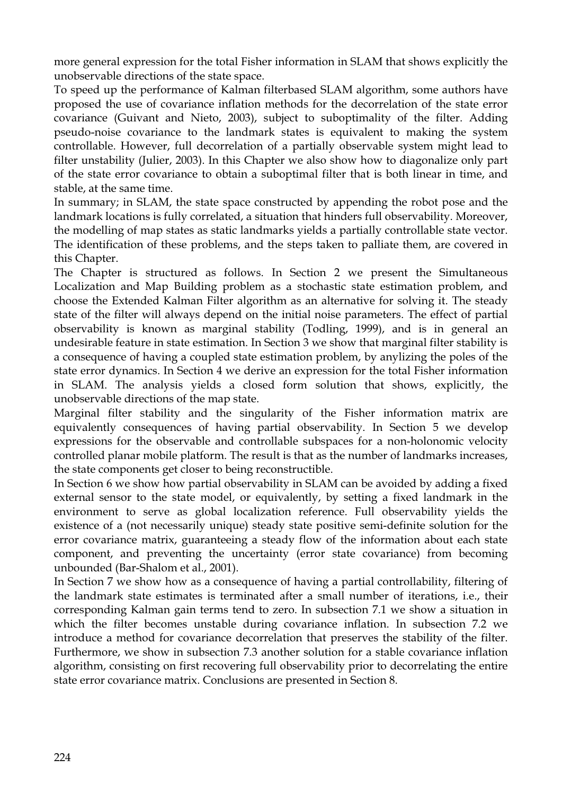more general expression for the total Fisher information in SLAM that shows explicitly the unobservable directions of the state space.

To speed up the performance of Kalman filterbased SLAM algorithm, some authors have proposed the use of covariance inflation methods for the decorrelation of the state error covariance (Guivant and Nieto, 2003), subject to suboptimality of the filter. Adding pseudo-noise covariance to the landmark states is equivalent to making the system controllable. However, full decorrelation of a partially observable system might lead to filter unstability (Julier, 2003). In this Chapter we also show how to diagonalize only part of the state error covariance to obtain a suboptimal filter that is both linear in time, and stable, at the same time.

In summary; in SLAM, the state space constructed by appending the robot pose and the landmark locations is fully correlated, a situation that hinders full observability. Moreover, the modelling of map states as static landmarks yields a partially controllable state vector. The identification of these problems, and the steps taken to palliate them, are covered in this Chapter.

The Chapter is structured as follows. In Section 2 we present the Simultaneous Localization and Map Building problem as a stochastic state estimation problem, and choose the Extended Kalman Filter algorithm as an alternative for solving it. The steady state of the filter will always depend on the initial noise parameters. The effect of partial observability is known as marginal stability (Todling, 1999), and is in general an undesirable feature in state estimation. In Section 3 we show that marginal filter stability is a consequence of having a coupled state estimation problem, by anylizing the poles of the state error dynamics. In Section 4 we derive an expression for the total Fisher information in SLAM. The analysis yields a closed form solution that shows, explicitly, the unobservable directions of the map state.

Marginal filter stability and the singularity of the Fisher information matrix are equivalently consequences of having partial observability. In Section 5 we develop expressions for the observable and controllable subspaces for a non-holonomic velocity controlled planar mobile platform. The result is that as the number of landmarks increases, the state components get closer to being reconstructible.

In Section 6 we show how partial observability in SLAM can be avoided by adding a fixed external sensor to the state model, or equivalently, by setting a fixed landmark in the environment to serve as global localization reference. Full observability yields the existence of a (not necessarily unique) steady state positive semi-definite solution for the error covariance matrix, guaranteeing a steady flow of the information about each state component, and preventing the uncertainty (error state covariance) from becoming unbounded (Bar-Shalom et al., 2001).

In Section 7 we show how as a consequence of having a partial controllability, filtering of the landmark state estimates is terminated after a small number of iterations, i.e., their corresponding Kalman gain terms tend to zero. In subsection 7.1 we show a situation in which the filter becomes unstable during covariance inflation. In subsection 7.2 we introduce a method for covariance decorrelation that preserves the stability of the filter. Furthermore, we show in subsection 7.3 another solution for a stable covariance inflation algorithm, consisting on first recovering full observability prior to decorrelating the entire state error covariance matrix. Conclusions are presented in Section 8.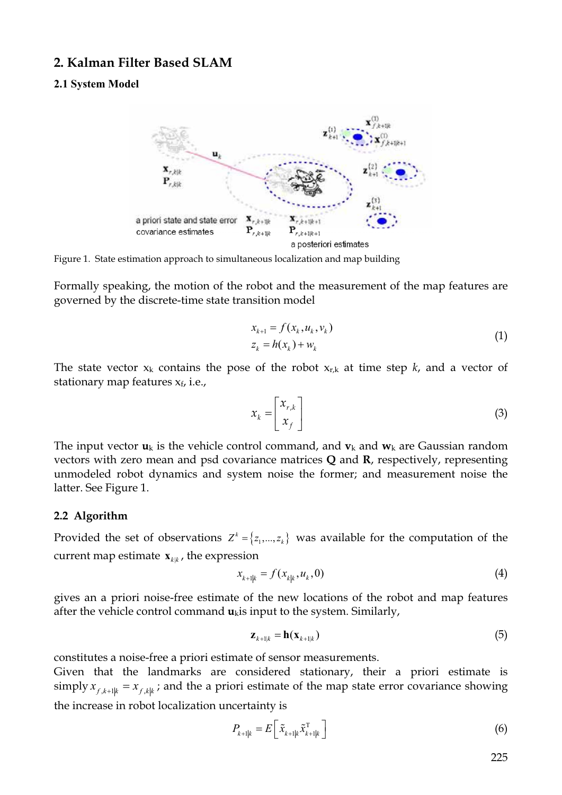## **2. Kalman Filter Based SLAM**

## **2.1 System Model**



Figure 1. State estimation approach to simultaneous localization and map building

Formally speaking, the motion of the robot and the measurement of the map features are governed by the discrete-time state transition model

$$
x_{k+1} = f(x_k, u_k, v_k)
$$
  
\n
$$
z_k = h(x_k) + w_k
$$
\n(1)

The state vector  $x_k$  contains the pose of the robot  $x_{r,k}$  at time step  $k$ , and a vector of stationary map features  $x_f$ , i.e.,

$$
x_k = \begin{bmatrix} x_{r,k} \\ x_f \end{bmatrix} \tag{3}
$$

The input vector  $\mathbf{u}_k$  is the vehicle control command, and  $\mathbf{v}_k$  and  $\mathbf{w}_k$  are Gaussian random vectors with zero mean and psd covariance matrices **Q** and **R**, respectively, representing unmodeled robot dynamics and system noise the former; and measurement noise the latter. See Figure 1.

#### **2.2 Algorithm**

Provided the set of observations  $Z^k = \{z_1,..., z_k\}$  was available for the computation of the current map estimate  $\mathbf{x}_{kk}$ , the expression

$$
x_{k+1|k} = f(x_{k|k}, u_k, 0) \tag{4}
$$

gives an a priori noise-free estimate of the new locations of the robot and map features after the vehicle control command  $\mathbf{u}_{k}$  is input to the system. Similarly,

$$
\mathbf{z}_{k+1|k} = \mathbf{h}(\mathbf{x}_{k+1|k})
$$
\n(5)

constitutes a noise-free a priori estimate of sensor measurements.

Given that the landmarks are considered stationary, their a priori estimate is simply  $x_{f, k+1|k} = x_{f, k|k}$ ; and the a priori estimate of the map state error covariance showing the increase in robot localization uncertainty is

$$
P_{k+1|k} = E\left[\tilde{x}_{k+1|k}\tilde{x}_{k+1|k}^{\mathrm{T}}\right]
$$
 (6)

225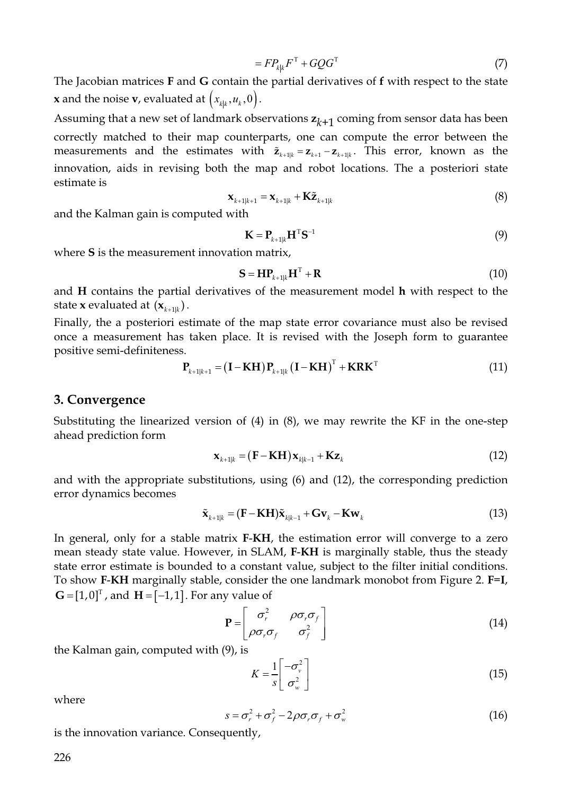$$
=FP_{kk}F^{T} + GQG^{T}
$$
\n<sup>(7)</sup>

The Jacobian matrices **F** and **G** contain the partial derivatives of **f** with respect to the state **x** and the noise **v**, evaluated at  $(x_{kk}, u_k, 0)$ .

Assuming that a new set of landmark observations  $z_{k+1}$  coming from sensor data has been correctly matched to their map counterparts, one can compute the error between the measurements and the estimates with  $\tilde{\mathbf{z}}_{k+1|k} = \mathbf{z}_{k+1} - \mathbf{z}_{k+1|k}$ . This error, known as the innovation, aids in revising both the map and robot locations. The a posteriori state estimate is

$$
\mathbf{x}_{k+1|k+1} = \mathbf{x}_{k+1|k} + \mathbf{K}\tilde{\mathbf{z}}_{k+1|k} \tag{8}
$$

and the Kalman gain is computed with

$$
\mathbf{K} = \mathbf{P}_{k+1|k} \mathbf{H}^{\mathrm{T}} \mathbf{S}^{-1}
$$
 (9)

where **S** is the measurement innovation matrix,

$$
\mathbf{S} = \mathbf{H}\mathbf{P}_{k+1|k}\mathbf{H}^{\mathrm{T}} + \mathbf{R} \tag{10}
$$

and **H** contains the partial derivatives of the measurement model **h** with respect to the state **x** evaluated at  $(\mathbf{x}_{k+1|k})$ .

Finally, the a posteriori estimate of the map state error covariance must also be revised once a measurement has taken place. It is revised with the Joseph form to guarantee positive semi-definiteness.

$$
\mathbf{P}_{k+1|k+1} = (\mathbf{I} - \mathbf{K} \mathbf{H}) \mathbf{P}_{k+1|k} (\mathbf{I} - \mathbf{K} \mathbf{H})^{\mathrm{T}} + \mathbf{K} \mathbf{R} \mathbf{K}^{\mathrm{T}}
$$
(11)

#### **3. Convergence**

Substituting the linearized version of (4) in (8), we may rewrite the KF in the one-step ahead prediction form

$$
\mathbf{x}_{k+1|k} = (\mathbf{F} - \mathbf{KH}) \mathbf{x}_{k|k-1} + \mathbf{K} \mathbf{z}_k
$$
\n(12)

and with the appropriate substitutions, using (6) and (12), the corresponding prediction error dynamics becomes

$$
\tilde{\mathbf{x}}_{k+1|k} = (\mathbf{F} - \mathbf{KH})\tilde{\mathbf{x}}_{k|k-1} + \mathbf{G}\mathbf{v}_k - \mathbf{K}\mathbf{w}_k
$$
\n(13)

In general, only for a stable matrix **F**-**KH**, the estimation error will converge to a zero mean steady state value. However, in SLAM, **F**-**KH** is marginally stable, thus the steady state error estimate is bounded to a constant value, subject to the filter initial conditions. To show **F**-**KH** marginally stable, consider the one landmark monobot from Figure 2. **F**=**I**,  $G = [1,0]^T$ , and  $H = [-1,1]$ . For any value of

$$
\mathbf{P} = \begin{bmatrix} \sigma_r^2 & \rho \sigma_r \sigma_f \\ \rho \sigma_r \sigma_f & \sigma_f^2 \end{bmatrix}
$$
 (14)

the Kalman gain, computed with (9), is

$$
K = \frac{1}{s} \begin{bmatrix} -\sigma_v^2 \\ \sigma_w^2 \end{bmatrix}
$$
 (15)

where

$$
s = \sigma_r^2 + \sigma_f^2 - 2\rho\sigma_r\sigma_f + \sigma_w^2
$$
 (16)

is the innovation variance. Consequently,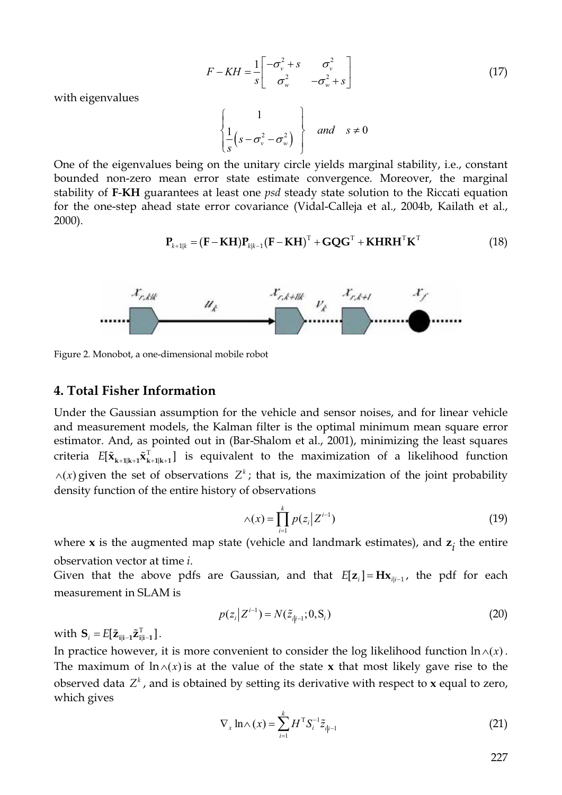$$
F - KH = \frac{1}{s} \begin{bmatrix} -\sigma_v^2 + s & \sigma_v^2 \\ \sigma_w^2 & -\sigma_w^2 + s \end{bmatrix}
$$
 (17)

with eigenvalues

 $\left(s-\sigma_{\nu}^2-\sigma_{\omega}^2\right)$ 1  $1 \rightarrow 2 \rightarrow 2 \text{ and } s \neq 0$  $v - \boldsymbol{\omega}_w$ *and s s*  $\frac{1}{s}(s-\sigma_{v}^{-}-\sigma_{v}^{-})$  $\left\{\frac{1}{s}\left(s-\sigma_{\nu}^2-\sigma_{\omega}^2\right)\right\}$  and  $s \neq$ 

One of the eigenvalues being on the unitary circle yields marginal stability, i.e., constant bounded non-zero mean error state estimate convergence. Moreover, the marginal stability of **F**-**KH** guarantees at least one *psd* steady state solution to the Riccati equation for the one-step ahead state error covariance (Vidal-Calleja et al., 2004b, Kailath et al., 2000).

$$
\mathbf{P}_{k+1|k} = (\mathbf{F} - \mathbf{K} \mathbf{H}) \mathbf{P}_{k|k-1} (\mathbf{F} - \mathbf{K} \mathbf{H})^{\mathrm{T}} + \mathbf{G} \mathbf{Q} \mathbf{G}^{\mathrm{T}} + \mathbf{K} \mathbf{H} \mathbf{R} \mathbf{H}^{\mathrm{T}} \mathbf{K}^{\mathrm{T}}
$$
(18)



Figure 2. Monobot, a one-dimensional mobile robot

#### **4. Total Fisher Information**

Under the Gaussian assumption for the vehicle and sensor noises, and for linear vehicle and measurement models, the Kalman filter is the optimal minimum mean square error estimator. And, as pointed out in (Bar-Shalom et al., 2001), minimizing the least squares criteria  $E[\tilde{\mathbf{x}}_{k+1|k+1}\tilde{\mathbf{x}}_{k+1|k+1}^{\mathrm{T}}]$  is equivalent to the maximization of a likelihood function  $\wedge$ (*x*) given the set of observations  $Z^k$ ; that is, the maximization of the joint probability density function of the entire history of observations

$$
\wedge(x) = \prod_{i=1}^{k} p(z_i | Z^{i-1})
$$
\n(19)

where **x** is the augmented map state (vehicle and landmark estimates), and **z***i* the entire observation vector at time *i*.

Given that the above pdfs are Gaussian, and that  $E[\mathbf{z}_i] = H\mathbf{x}_{\text{min-1}}$ , the pdf for each measurement in SLAM is

$$
p(z_i|Z^{i-1}) = N(\tilde{z}_{i|i-1}; 0, S_i)
$$
\n(20)

with  $\mathbf{S}_i = E[\tilde{\mathbf{z}}_{i|i-1}\tilde{\mathbf{z}}_{i|i-1}^{\mathrm{T}}]$ .

In practice however, it is more convenient to consider the log likelihood function  $\ln(x)$ . The maximum of  $\ln(x)$  is at the value of the state **x** that most likely gave rise to the observed data  $Z^k$ , and is obtained by setting its derivative with respect to **x** equal to zero, which gives

$$
\nabla_x \ln \wedge (x) = \sum_{i=1}^k H^{\mathrm{T}} S_i^{-1} \tilde{z}_{i|i-1} \tag{21}
$$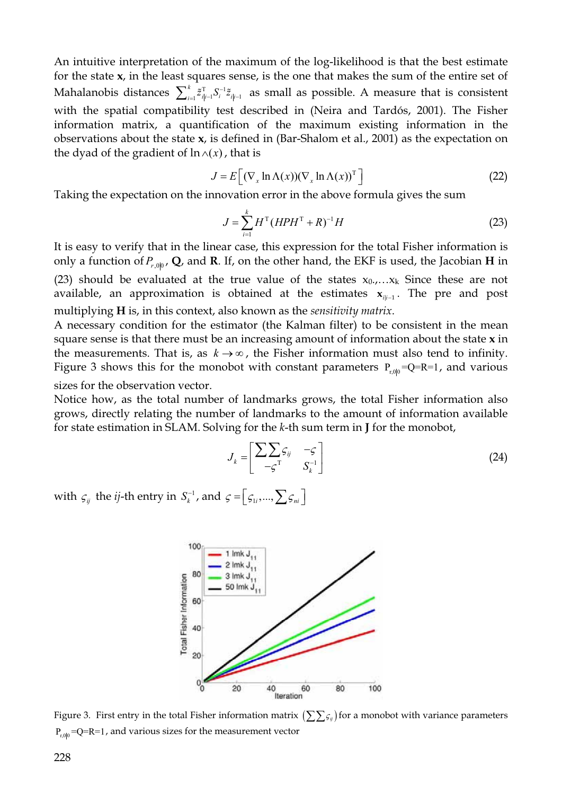An intuitive interpretation of the maximum of the log-likelihood is that the best estimate for the state **x**, in the least squares sense, is the one that makes the sum of the entire set of Mahalanobis distances  $\sum_{i=1}^k \tilde{z}^T_{i|i-1} S_i^{-1} \tilde{z}_{i|i-1}}$  as small as possible. A measure that is consistent with the spatial compatibility test described in (Neira and Tardós, 2001). The Fisher information matrix, a quantification of the maximum existing information in the observations about the state **x**, is defined in (Bar-Shalom et al., 2001) as the expectation on the dyad of the gradient of  $\ln(x)$ , that is

$$
J = E\left[ (\nabla_x \ln \Lambda(x)) (\nabla_x \ln \Lambda(x))^\mathrm{T} \right] \tag{22}
$$

Taking the expectation on the innovation error in the above formula gives the sum

$$
J = \sum_{i=1}^{k} H^{T} (HPH^{T} + R)^{-1} H
$$
 (23)

It is easy to verify that in the linear case, this expression for the total Fisher information is only a function of  $P_{r,0|0}$ , **Q**, and **R**. If, on the other hand, the EKF is used, the Jacobian **H** in (23) should be evaluated at the true value of the states  $x_0,...x_k$  Since these are not available, an approximation is obtained at the estimates  $x_{i,i-1}$ . The pre and post multiplying **H** is, in this context, also known as the *sensitivity matrix*.

A necessary condition for the estimator (the Kalman filter) to be consistent in the mean square sense is that there must be an increasing amount of information about the state **x** in the measurements. That is, as  $k \rightarrow \infty$ , the Fisher information must also tend to infinity. Figure 3 shows this for the monobot with constant parameters  $P_{r,0|0} = Q = R = 1$ , and various sizes for the observation vector.

Notice how, as the total number of landmarks grows, the total Fisher information also grows, directly relating the number of landmarks to the amount of information available for state estimation in SLAM. Solving for the *k*-th sum term in **J** for the monobot,

$$
J_k = \begin{bmatrix} \sum_{i} S_{ij} & -\varsigma \\ -\varsigma^{\mathrm{T}} & S_k^{-1} \end{bmatrix} \tag{24}
$$

with  $\varsigma_{ij}$  the *ij*-th entry in  $S_k^{-1}$ , and  $\varsigma = \left[\zeta_{1i}, ..., \sum \zeta_{ni}\right]$ 



Figure 3. First entry in the total Fisher information matrix  $(\sum \sum \varsigma_{ij})$  for a monobot with variance parameters  $P_{r,0|0}$  =Q=R=1, and various sizes for the measurement vector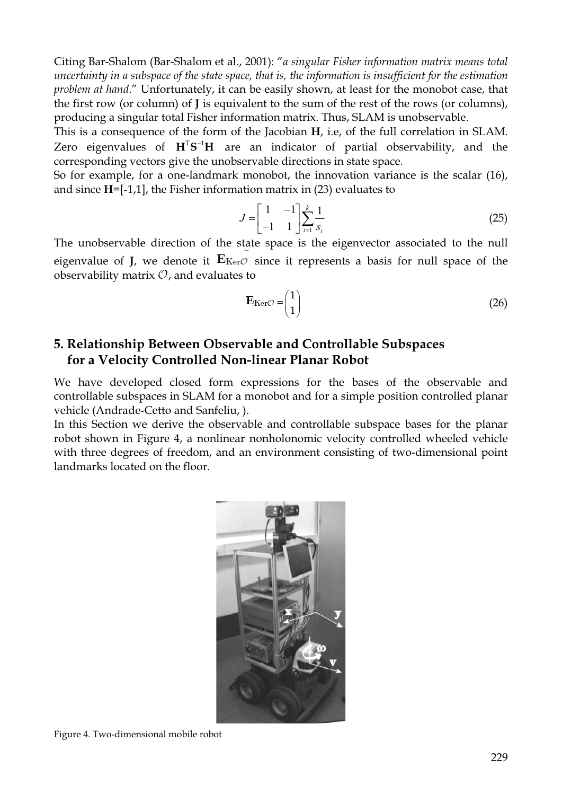Citing Bar-Shalom (Bar-Shalom et al., 2001): "*a singular Fisher information matrix means total uncertainty in a subspace of the state space, that is, the information is insufficient for the estimation problem at hand*." Unfortunately, it can be easily shown, at least for the monobot case, that the first row (or column) of **J** is equivalent to the sum of the rest of the rows (or columns), producing a singular total Fisher information matrix. Thus, SLAM is unobservable.

This is a consequence of the form of the Jacobian **H**, i.e, of the full correlation in SLAM. Zero eigenvalues of  $H^T S^{-1} H$  are an indicator of partial observability, and the corresponding vectors give the unobservable directions in state space.

So for example, for a one-landmark monobot, the innovation variance is the scalar (16), and since **H**=[-1,1], the Fisher information matrix in (23) evaluates to

$$
J = \begin{bmatrix} 1 & -1 \\ -1 & 1 \end{bmatrix} \sum_{i=1}^{k} \frac{1}{s_i}
$$
 (25)

The unobservable direction of the state space is the eigenvector associated to the null eigenvalue of **J**, we denote it  $E_{\text{Ker}}\varphi$  since it represents a basis for null space of the observability matrix  $\mathcal{O}$ , and evaluates to

$$
E_{\text{Ker}}\mathcal{O} = \begin{pmatrix} 1 \\ 1 \end{pmatrix} \tag{26}
$$

# **5. Relationship Between Observable and Controllable Subspaces for a Velocity Controlled Non-linear Planar Robot**

We have developed closed form expressions for the bases of the observable and controllable subspaces in SLAM for a monobot and for a simple position controlled planar vehicle (Andrade-Cetto and Sanfeliu, ).

In this Section we derive the observable and controllable subspace bases for the planar robot shown in Figure 4, a nonlinear nonholonomic velocity controlled wheeled vehicle with three degrees of freedom, and an environment consisting of two-dimensional point landmarks located on the floor.



Figure 4. Two-dimensional mobile robot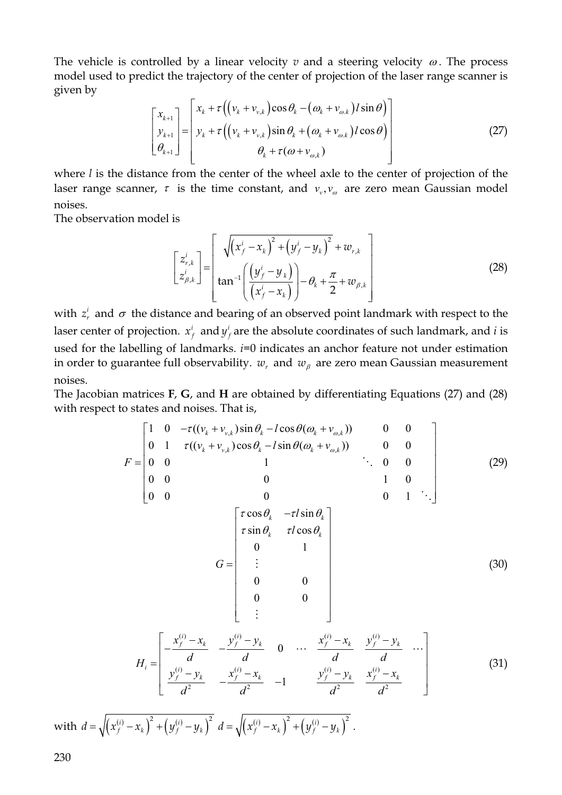The vehicle is controlled by a linear velocity  $v$  and a steering velocity  $\omega$ . The process model used to predict the trajectory of the center of projection of the laser range scanner is given by

$$
\begin{bmatrix} x_{k+1} \\ y_{k+1} \\ \theta_{k+1} \end{bmatrix} = \begin{bmatrix} x_k + \tau \left( \left( v_k + v_{v,k} \right) \cos \theta_k - \left( \omega_k + v_{\omega,k} \right) l \sin \theta \right) \\ y_k + \tau \left( \left( v_k + v_{v,k} \right) \sin \theta_k + \left( \omega_k + v_{\omega,k} \right) l \cos \theta \right) \\ \theta_k + \tau (\omega + v_{\omega,k}) \end{bmatrix}
$$
(27)

where *l* is the distance from the center of the wheel axle to the center of projection of the laser range scanner,  $\tau$  is the time constant, and  $v_v$ ,  $v_\omega$  are zero mean Gaussian model noises.

The observation model is

$$
\begin{bmatrix} z_{r,k}^i \\ z_{\beta,k}^i \end{bmatrix} = \begin{bmatrix} \sqrt{(x_f^i - x_k)^2 + (y_f^i - y_k)^2} + w_{r,k} \\ \tan^{-1} \left( \frac{(y_f^i - y_k)}{(x_f^i - x_k)} \right) - \theta_k + \frac{\pi}{2} + w_{\beta,k} \end{bmatrix}
$$
(28)

with  $z_r^i$  and  $\sigma$  the distance and bearing of an observed point landmark with respect to the laser center of projection.  $x_f^i$  and  $y_f^i$  are the absolute coordinates of such landmark, and *i* is used for the labelling of landmarks. *i*=0 indicates an anchor feature not under estimation in order to guarantee full observability.  $w_r$  and  $w_\beta$  are zero mean Gaussian measurement noises.

The Jacobian matrices **F**, **G**, and **H** are obtained by differentiating Equations (27) and (28) with respect to states and noises. That is,

$$
F = \begin{bmatrix} 1 & 0 & -\tau((v_k + v_{v,k})\sin\theta_k - l\cos\theta(\omega_k + v_{\omega,k})) & 0 & 0 \\ 0 & 1 & \tau((v_k + v_{v,k})\cos\theta_k - l\sin\theta(\omega_k + v_{\omega,k})) & 0 & 0 \\ 0 & 0 & 1 & \cdots & 0 & 0 \\ 0 & 0 & 0 & 1 & 0 \\ 0 & 0 & 0 & 0 & 1 \end{bmatrix}
$$
(29)  

$$
G = \begin{bmatrix} \tau\cos\theta_k & -\tau l\sin\theta_k \\ \tau\sin\theta_k & \tau l\cos\theta_k \\ 0 & 1 \\ \vdots & \vdots \\ 0 & 0 \\ 0 & 0 \\ \vdots & \vdots \end{bmatrix}
$$
(30)  

$$
G = \begin{bmatrix} \tau\cos\theta_k & -\tau l\sin\theta_k \\ \tau\sin\theta_k & \tau l\cos\theta_k \\ 0 & 1 \\ \vdots & \vdots \end{bmatrix}
$$
(30)

$$
H_{i} = \begin{bmatrix} \frac{1}{d} & \frac{1}{d} & \frac{1}{d} & \cdots & \frac{1}{d} & \frac{1}{d} & \cdots \\ \frac{y_{f}^{(i)} - y_{k}}{d^{2}} & -\frac{x_{f}^{(i)} - x_{k}}{d^{2}} & -1 & \frac{y_{f}^{(i)} - y_{k}}{d^{2}} & \frac{x_{f}^{(i)} - x_{k}}{d^{2}} & \cdots \end{bmatrix} \tag{31}
$$

 $\text{with} \ \ d = \sqrt{\left(x_f^{(i)} - x_k\right)^2 + \left(y_f^{(i)} - y_k\right)^2} \ \ d = \sqrt{\left(x_f^{(i)} - x_k\right)^2 + \left(y_f^{(i)} - y_k\right)^2} \ .$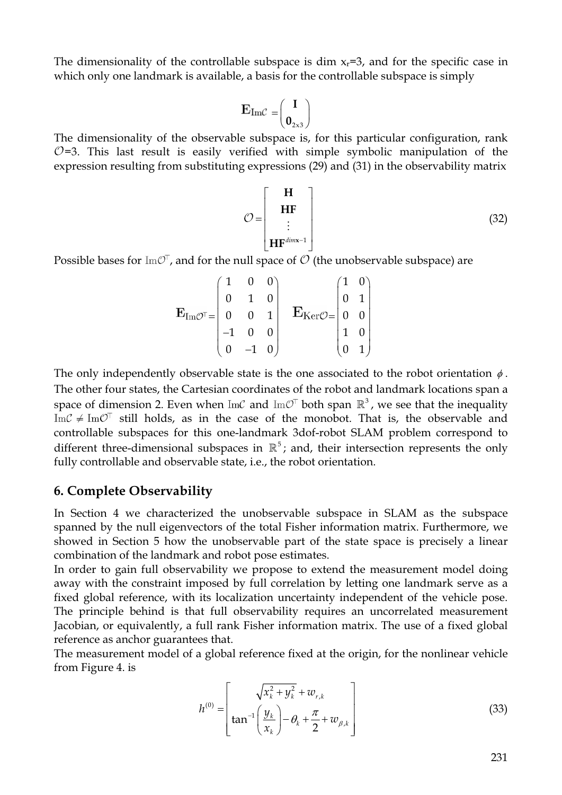The dimensionality of the controllable subspace is dim  $x_r=3$ , and for the specific case in which only one landmark is available, a basis for the controllable subspace is simply

$$
E_{Im\mathcal{C}} = \begin{pmatrix} I \\ \mathbf{0}_{2\times 3} \end{pmatrix}
$$

The dimensionality of the observable subspace is, for this particular configuration, rank  $\mathcal{O}=3$ . This last result is easily verified with simple symbolic manipulation of the expression resulting from substituting expressions (29) and (31) in the observability matrix

$$
\mathcal{O} = \begin{bmatrix} \mathbf{H} \\ \mathbf{H} \mathbf{F} \\ \vdots \\ \mathbf{H} \mathbf{F}^{dim \times -1} \end{bmatrix}
$$
 (32)

Possible bases for  $\text{Im}\mathcal{O}^{\dagger}$ , and for the null space of  $\mathcal{O}$  (the unobservable subspace) are

$$
\mathbf{E}_{\mathrm{Im} \mathcal{O}^\top} = \begin{pmatrix} 1 & 0 & 0 \\ 0 & 1 & 0 \\ 0 & 0 & 1 \\ -1 & 0 & 0 \\ 0 & -1 & 0 \end{pmatrix} \quad \mathbf{E}_{\mathrm{Ker} \mathcal{O}} = \begin{pmatrix} 1 & 0 \\ 0 & 1 \\ 0 & 0 \\ 1 & 0 \\ 0 & 1 \end{pmatrix}
$$

The only independently observable state is the one associated to the robot orientation  $\phi$ . The other four states, the Cartesian coordinates of the robot and landmark locations span a space of dimension 2. Even when  $\text{Im}\mathcal{C}$  and  $\text{Im}\mathcal{O}^{\dagger}$  both span  $\mathbb{R}^3$ , we see that the inequality Im $C \neq Im\mathcal{O}^{\dagger}$  still holds, as in the case of the monobot. That is, the observable and controllable subspaces for this one-landmark 3dof-robot SLAM problem correspond to different three-dimensional subspaces in  $\mathbb{R}^5$ ; and, their intersection represents the only fully controllable and observable state, i.e., the robot orientation.

## **6. Complete Observability**

In Section 4 we characterized the unobservable subspace in SLAM as the subspace spanned by the null eigenvectors of the total Fisher information matrix. Furthermore, we showed in Section 5 how the unobservable part of the state space is precisely a linear combination of the landmark and robot pose estimates.

In order to gain full observability we propose to extend the measurement model doing away with the constraint imposed by full correlation by letting one landmark serve as a fixed global reference, with its localization uncertainty independent of the vehicle pose. The principle behind is that full observability requires an uncorrelated measurement Jacobian, or equivalently, a full rank Fisher information matrix. The use of a fixed global reference as anchor guarantees that.

The measurement model of a global reference fixed at the origin, for the nonlinear vehicle from Figure 4. is

$$
h^{(0)} = \left[\tan^{-1}\left(\frac{y_k}{x_k}\right) - \theta_k + \frac{\pi}{2} + w_{\beta,k}\right]
$$
 (33)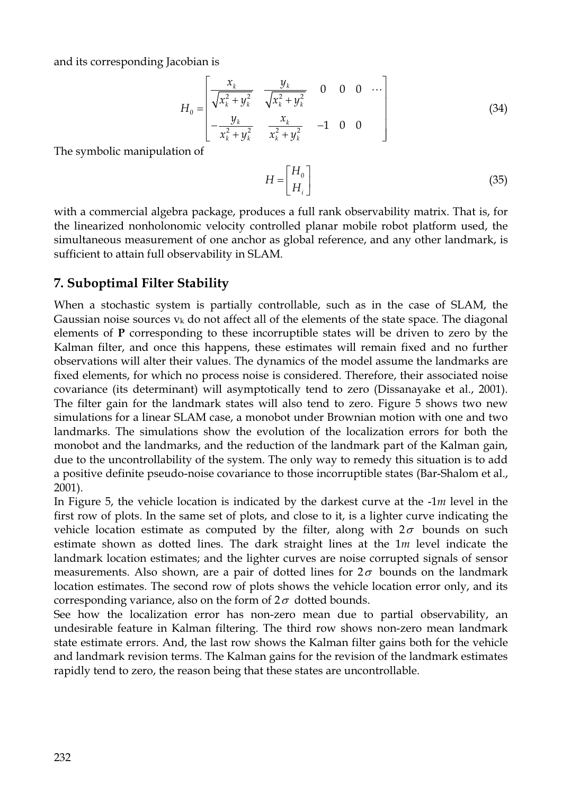and its corresponding Jacobian is

$$
H_0 = \begin{bmatrix} \frac{x_k}{\sqrt{x_k^2 + y_k^2}} & \frac{y_k}{\sqrt{x_k^2 + y_k^2}} & 0 & 0 & 0 & \cdots \\ -\frac{y_k}{x_k^2 + y_k^2} & \frac{x_k}{x_k^2 + y_k^2} & -1 & 0 & 0 \end{bmatrix}
$$
(34)

The symbolic manipulation of

$$
H = \begin{bmatrix} H_0 \\ H_i \end{bmatrix} \tag{35}
$$

with a commercial algebra package, produces a full rank observability matrix. That is, for the linearized nonholonomic velocity controlled planar mobile robot platform used, the simultaneous measurement of one anchor as global reference, and any other landmark, is sufficient to attain full observability in SLAM.

# **7. Suboptimal Filter Stability**

When a stochastic system is partially controllable, such as in the case of SLAM, the Gaussian noise sources  $v_k$  do not affect all of the elements of the state space. The diagonal elements of **P** corresponding to these incorruptible states will be driven to zero by the Kalman filter, and once this happens, these estimates will remain fixed and no further observations will alter their values. The dynamics of the model assume the landmarks are fixed elements, for which no process noise is considered. Therefore, their associated noise covariance (its determinant) will asymptotically tend to zero (Dissanayake et al., 2001). The filter gain for the landmark states will also tend to zero. Figure 5 shows two new simulations for a linear SLAM case, a monobot under Brownian motion with one and two landmarks. The simulations show the evolution of the localization errors for both the monobot and the landmarks, and the reduction of the landmark part of the Kalman gain, due to the uncontrollability of the system. The only way to remedy this situation is to add a positive definite pseudo-noise covariance to those incorruptible states (Bar-Shalom et al., 2001).

In Figure 5, the vehicle location is indicated by the darkest curve at the -1*m* level in the first row of plots. In the same set of plots, and close to it, is a lighter curve indicating the vehicle location estimate as computed by the filter, along with  $2\sigma$  bounds on such estimate shown as dotted lines. The dark straight lines at the 1*m* level indicate the landmark location estimates; and the lighter curves are noise corrupted signals of sensor measurements. Also shown, are a pair of dotted lines for  $2\sigma$  bounds on the landmark location estimates. The second row of plots shows the vehicle location error only, and its corresponding variance, also on the form of  $2\sigma$  dotted bounds.

See how the localization error has non-zero mean due to partial observability, an undesirable feature in Kalman filtering. The third row shows non-zero mean landmark state estimate errors. And, the last row shows the Kalman filter gains both for the vehicle and landmark revision terms. The Kalman gains for the revision of the landmark estimates rapidly tend to zero, the reason being that these states are uncontrollable.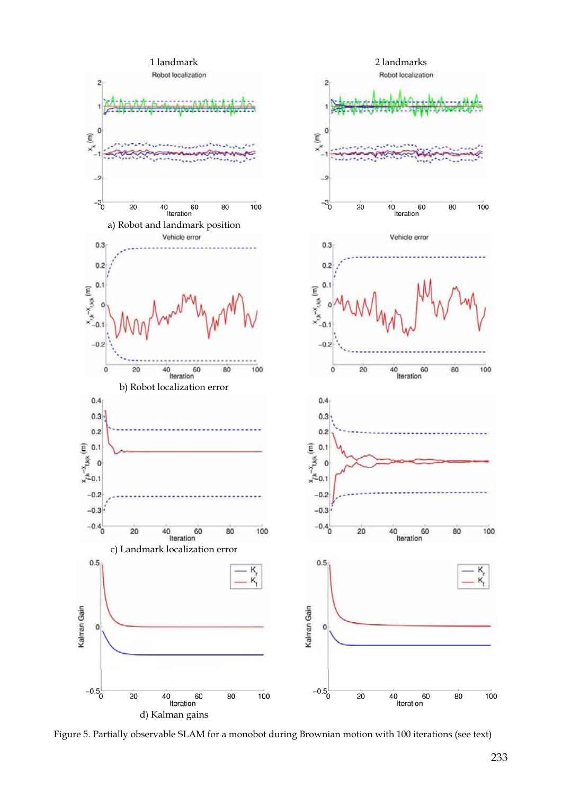

Figure 5. Partially observable SLAM for a monobot during Brownian motion with 100 iterations (see text)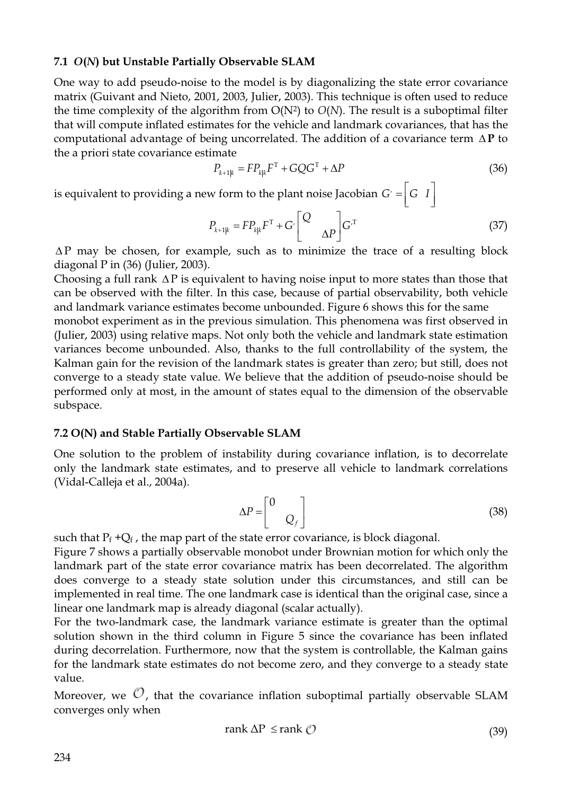#### **7.1** *O***(***N***) but Unstable Partially Observable SLAM**

One way to add pseudo-noise to the model is by diagonalizing the state error covariance matrix (Guivant and Nieto, 2001, 2003, Julier, 2003). This technique is often used to reduce the time complexity of the algorithm from  $O(N^2)$  to  $O(N)$ . The result is a suboptimal filter that will compute inflated estimates for the vehicle and landmark covariances, that has the computational advantage of being uncorrelated. The addition of a covariance term  $\Delta P$  to the a priori state covariance estimate

$$
P_{k+1|k} = FP_{k|k}F^{T} + GQG^{T} + \Delta P \tag{36}
$$

is equivalent to providing a new form to the plant noise Jacobian  $G = |G|I$ 

$$
P_{k+1|k} = FP_{k|k}F^{T} + G \begin{bmatrix} Q \\ \Delta P \end{bmatrix} G^{T}
$$
 (37)

 $\Delta P$  may be chosen, for example, such as to minimize the trace of a resulting block diagonal P in  $(36)$  (Julier, 2003).

Choosing a full rank  $\Delta P$  is equivalent to having noise input to more states than those that can be observed with the filter. In this case, because of partial observability, both vehicle and landmark variance estimates become unbounded. Figure 6 shows this for the same

monobot experiment as in the previous simulation. This phenomena was first observed in (Julier, 2003) using relative maps. Not only both the vehicle and landmark state estimation variances become unbounded. Also, thanks to the full controllability of the system, the Kalman gain for the revision of the landmark states is greater than zero; but still, does not converge to a steady state value. We believe that the addition of pseudo-noise should be performed only at most, in the amount of states equal to the dimension of the observable subspace.

#### **7.2 O(N) and Stable Partially Observable SLAM**

One solution to the problem of instability during covariance inflation, is to decorrelate only the landmark state estimates, and to preserve all vehicle to landmark correlations (Vidal-Calleja et al., 2004a).

$$
\Delta P = \begin{bmatrix} 0 & 0 \\ 0 & Q_f \end{bmatrix} \tag{38}
$$

such that  $P_f + Q_f$ , the map part of the state error covariance, is block diagonal.

Figure 7 shows a partially observable monobot under Brownian motion for which only the landmark part of the state error covariance matrix has been decorrelated. The algorithm does converge to a steady state solution under this circumstances, and still can be implemented in real time. The one landmark case is identical than the original case, since a linear one landmark map is already diagonal (scalar actually).

For the two-landmark case, the landmark variance estimate is greater than the optimal solution shown in the third column in Figure 5 since the covariance has been inflated during decorrelation. Furthermore, now that the system is controllable, the Kalman gains for the landmark state estimates do not become zero, and they converge to a steady state value.

Moreover, we  $\mathcal{O}_n$ , that the covariance inflation suboptimal partially observable SLAM converges only when

$$
rank \Delta P \le rank \mathcal{O}
$$
 (39)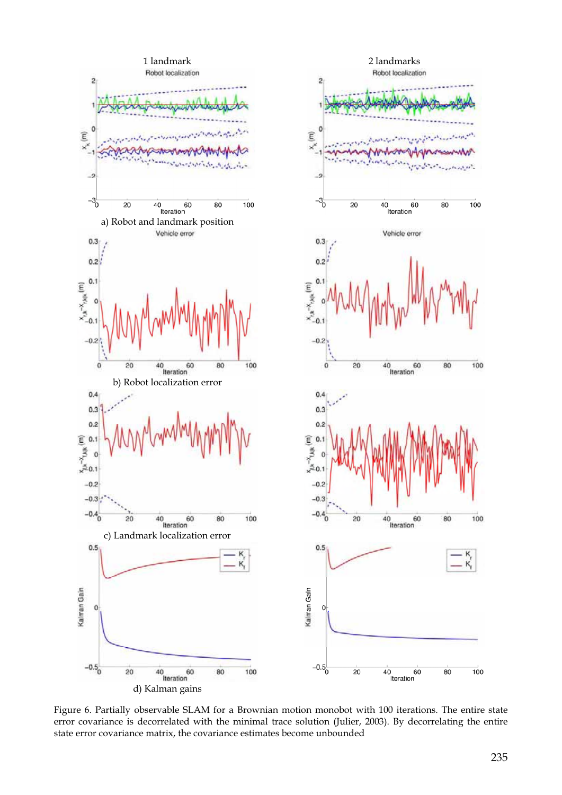

Figure 6. Partially observable SLAM for a Brownian motion monobot with 100 iterations. The entire state error covariance is decorrelated with the minimal trace solution (Julier, 2003). By decorrelating the entire state error covariance matrix, the covariance estimates become unbounded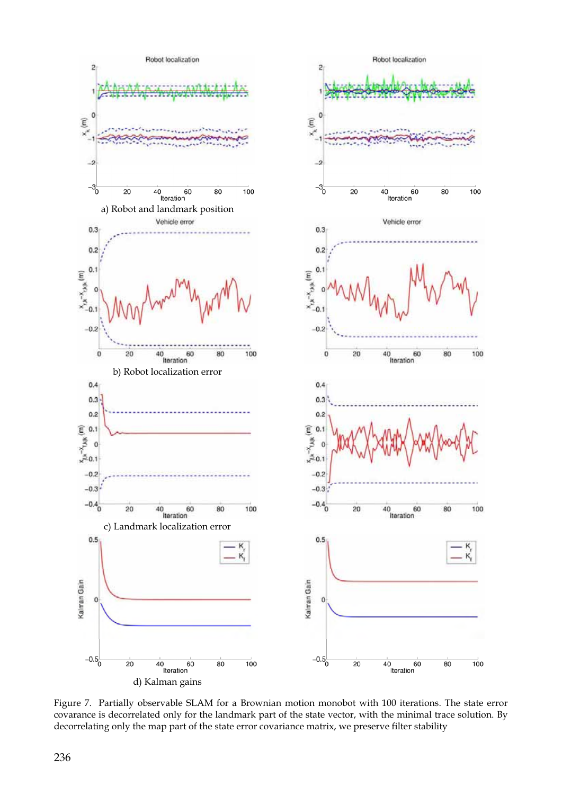

Figure 7. Partially observable SLAM for a Brownian motion monobot with 100 iterations. The state error covarance is decorrelated only for the landmark part of the state vector, with the minimal trace solution. By decorrelating only the map part of the state error covariance matrix, we preserve filter stability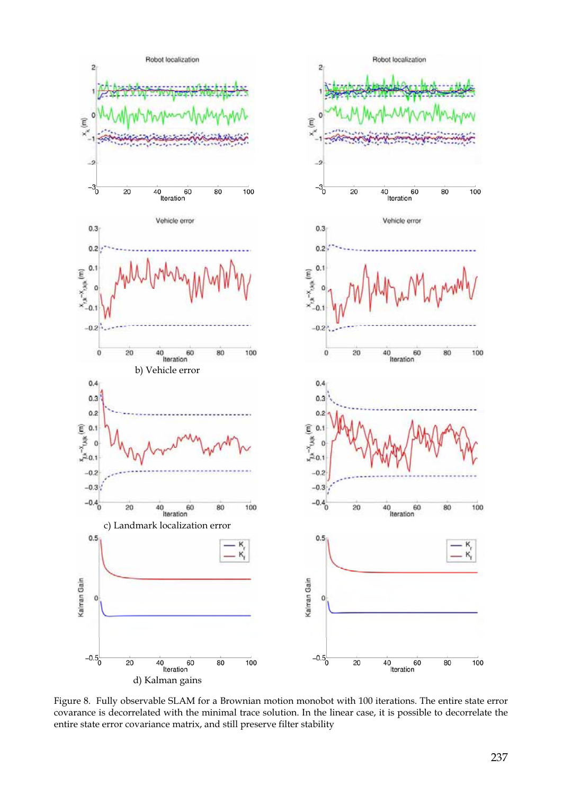

Figure 8. Fully observable SLAM for a Brownian motion monobot with 100 iterations. The entire state error covarance is decorrelated with the minimal trace solution. In the linear case, it is possible to decorrelate the entire state error covariance matrix, and still preserve filter stability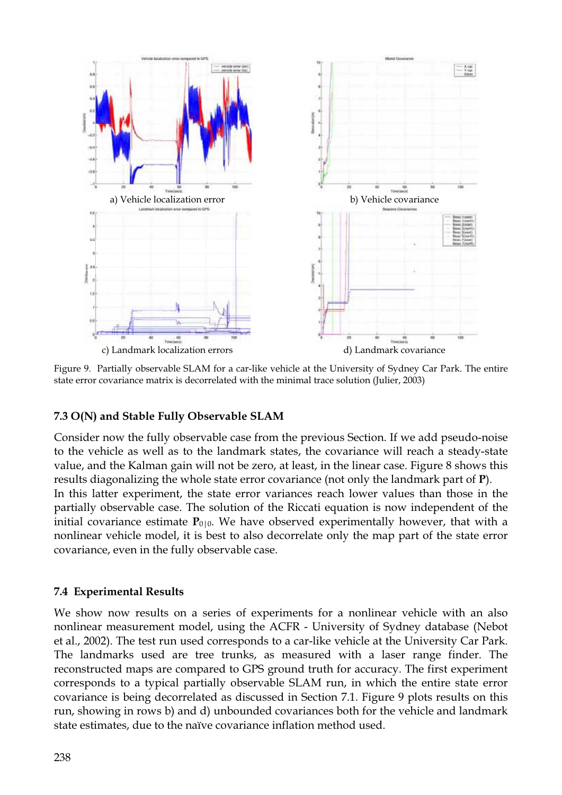

Figure 9. Partially observable SLAM for a car-like vehicle at the University of Sydney Car Park. The entire state error covariance matrix is decorrelated with the minimal trace solution (Julier, 2003)

## **7.3 O(N) and Stable Fully Observable SLAM**

Consider now the fully observable case from the previous Section. If we add pseudo-noise to the vehicle as well as to the landmark states, the covariance will reach a steady-state value, and the Kalman gain will not be zero, at least, in the linear case. Figure 8 shows this results diagonalizing the whole state error covariance (not only the landmark part of **P**). In this latter experiment, the state error variances reach lower values than those in the partially observable case. The solution of the Riccati equation is now independent of the initial covariance estimate  $P_{0|0}$ . We have observed experimentally however, that with a nonlinear vehicle model, it is best to also decorrelate only the map part of the state error covariance, even in the fully observable case.

## **7.4 Experimental Results**

We show now results on a series of experiments for a nonlinear vehicle with an also nonlinear measurement model, using the ACFR - University of Sydney database (Nebot et al., 2002). The test run used corresponds to a car-like vehicle at the University Car Park. The landmarks used are tree trunks, as measured with a laser range finder. The reconstructed maps are compared to GPS ground truth for accuracy. The first experiment corresponds to a typical partially observable SLAM run, in which the entire state error covariance is being decorrelated as discussed in Section 7.1. Figure 9 plots results on this run, showing in rows b) and d) unbounded covariances both for the vehicle and landmark state estimates, due to the naïve covariance inflation method used.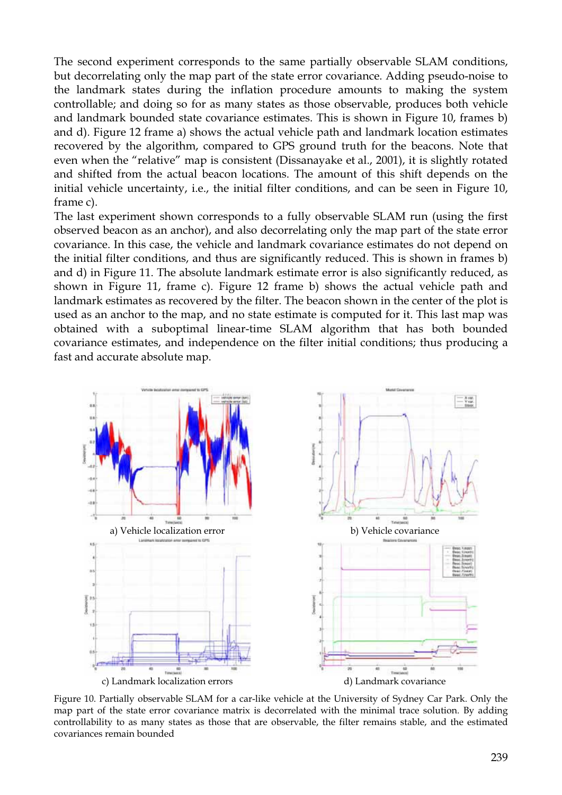The second experiment corresponds to the same partially observable SLAM conditions, but decorrelating only the map part of the state error covariance. Adding pseudo-noise to the landmark states during the inflation procedure amounts to making the system controllable; and doing so for as many states as those observable, produces both vehicle and landmark bounded state covariance estimates. This is shown in Figure 10, frames b) and d). Figure 12 frame a) shows the actual vehicle path and landmark location estimates recovered by the algorithm, compared to GPS ground truth for the beacons. Note that even when the "relative" map is consistent (Dissanayake et al., 2001), it is slightly rotated and shifted from the actual beacon locations. The amount of this shift depends on the initial vehicle uncertainty, i.e., the initial filter conditions, and can be seen in Figure 10, frame c).

The last experiment shown corresponds to a fully observable SLAM run (using the first observed beacon as an anchor), and also decorrelating only the map part of the state error covariance. In this case, the vehicle and landmark covariance estimates do not depend on the initial filter conditions, and thus are significantly reduced. This is shown in frames b) and d) in Figure 11. The absolute landmark estimate error is also significantly reduced, as shown in Figure 11, frame c). Figure 12 frame b) shows the actual vehicle path and landmark estimates as recovered by the filter. The beacon shown in the center of the plot is used as an anchor to the map, and no state estimate is computed for it. This last map was obtained with a suboptimal linear-time SLAM algorithm that has both bounded covariance estimates, and independence on the filter initial conditions; thus producing a fast and accurate absolute map.



Figure 10. Partially observable SLAM for a car-like vehicle at the University of Sydney Car Park. Only the map part of the state error covariance matrix is decorrelated with the minimal trace solution. By adding controllability to as many states as those that are observable, the filter remains stable, and the estimated covariances remain bounded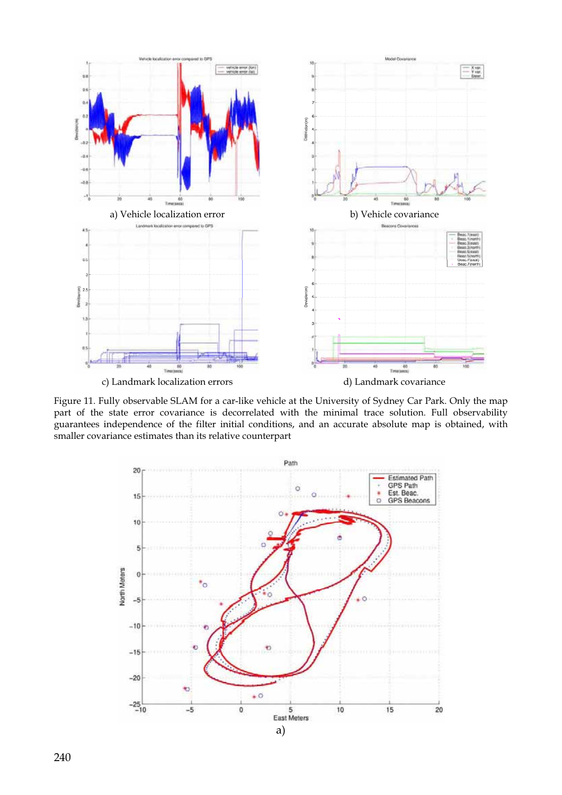

Figure 11. Fully observable SLAM for a car-like vehicle at the University of Sydney Car Park. Only the map part of the state error covariance is decorrelated with the minimal trace solution. Full observability guarantees independence of the filter initial conditions, and an accurate absolute map is obtained, with smaller covariance estimates than its relative counterpart

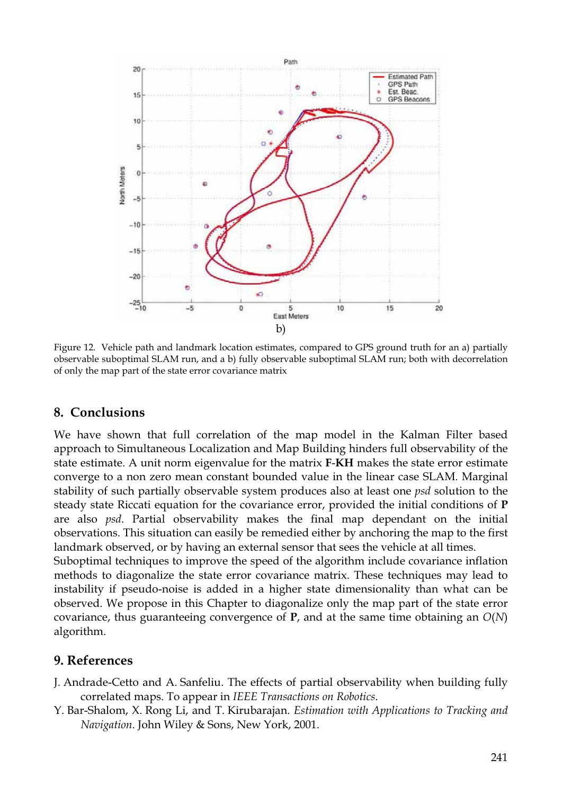

Figure 12. Vehicle path and landmark location estimates, compared to GPS ground truth for an a) partially observable suboptimal SLAM run, and a b) fully observable suboptimal SLAM run; both with decorrelation of only the map part of the state error covariance matrix

## **8. Conclusions**

We have shown that full correlation of the map model in the Kalman Filter based approach to Simultaneous Localization and Map Building hinders full observability of the state estimate. A unit norm eigenvalue for the matrix **F**-**KH** makes the state error estimate converge to a non zero mean constant bounded value in the linear case SLAM. Marginal stability of such partially observable system produces also at least one *psd* solution to the steady state Riccati equation for the covariance error, provided the initial conditions of **P** are also *psd*. Partial observability makes the final map dependant on the initial observations. This situation can easily be remedied either by anchoring the map to the first landmark observed, or by having an external sensor that sees the vehicle at all times.

Suboptimal techniques to improve the speed of the algorithm include covariance inflation methods to diagonalize the state error covariance matrix. These techniques may lead to instability if pseudo-noise is added in a higher state dimensionality than what can be observed. We propose in this Chapter to diagonalize only the map part of the state error covariance, thus guaranteeing convergence of **P**, and at the same time obtaining an *O*(*N*) algorithm.

## **9. References**

- J. Andrade-Cetto and A. Sanfeliu. The effects of partial observability when building fully correlated maps. To appear in *IEEE Transactions on Robotics*.
- Y. Bar-Shalom, X. Rong Li, and T. Kirubarajan. *Estimation with Applications to Tracking and Navigation*. John Wiley & Sons, New York, 2001.